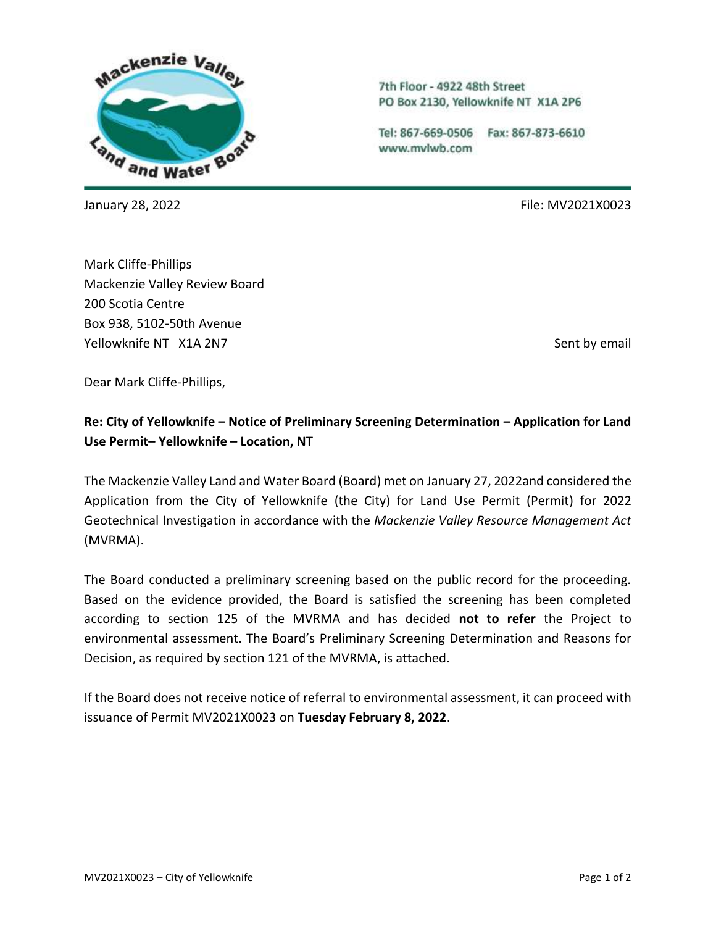

7th Floor - 4922 48th Street PO Box 2130, Yellowknife NT X1A 2P6

Tel: 867-669-0506 Fax: 867-873-6610 www.mvlwb.com

January 28, 2022 File: MV2021X0023

Mark Cliffe-Phillips Mackenzie Valley Review Board 200 Scotia Centre Box 938, 5102-50th Avenue Yellowknife NT X1A 2N7 Sent by email and the sense of the sense of the sense of the Sent by email

Dear Mark Cliffe-Phillips,

# **Re: City of Yellowknife – Notice of Preliminary Screening Determination – Application for Land Use Permit– Yellowknife – Location, NT**

The Mackenzie Valley Land and Water Board (Board) met on January 27, 2022and considered the Application from the City of Yellowknife (the City) for Land Use Permit (Permit) for 2022 Geotechnical Investigation in accordance with the *Mackenzie Valley Resource Management Act*  (MVRMA).

The Board conducted a preliminary screening based on the public record for the proceeding. Based on the evidence provided, the Board is satisfied the screening has been completed according to section 125 of the MVRMA and has decided **not to refer** the Project to environmental assessment. The Board's Preliminary Screening Determination and Reasons for Decision, as required by section 121 of the MVRMA, is attached.

If the Board does not receive notice of referral to environmental assessment, it can proceed with issuance of Permit MV2021X0023 on **Tuesday February 8, 2022**.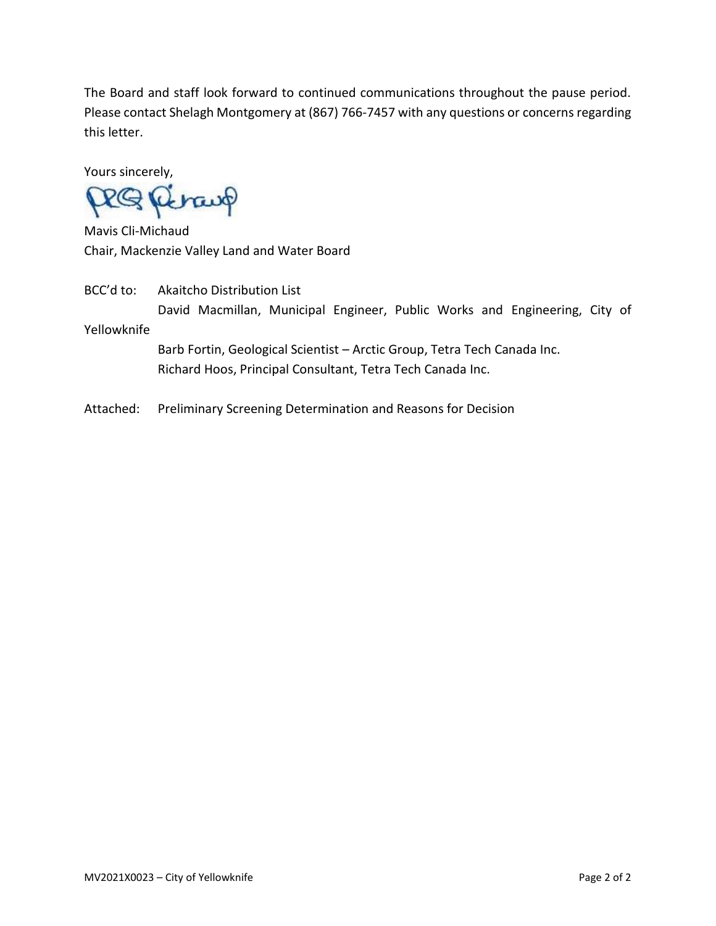The Board and staff look forward to continued communications throughout the pause period. Please contact Shelagh Montgomery at (867) 766-7457 with any questions or concerns regarding this letter.

Yours sincerely,

RQ Retaup

Mavis Cli-Michaud Chair, Mackenzie Valley Land and Water Board

BCC'd to: Akaitcho Distribution List David Macmillan, Municipal Engineer, Public Works and Engineering, City of Yellowknife

Barb Fortin, Geological Scientist – Arctic Group, Tetra Tech Canada Inc. Richard Hoos, Principal Consultant, Tetra Tech Canada Inc.

Attached: Preliminary Screening Determination and Reasons for Decision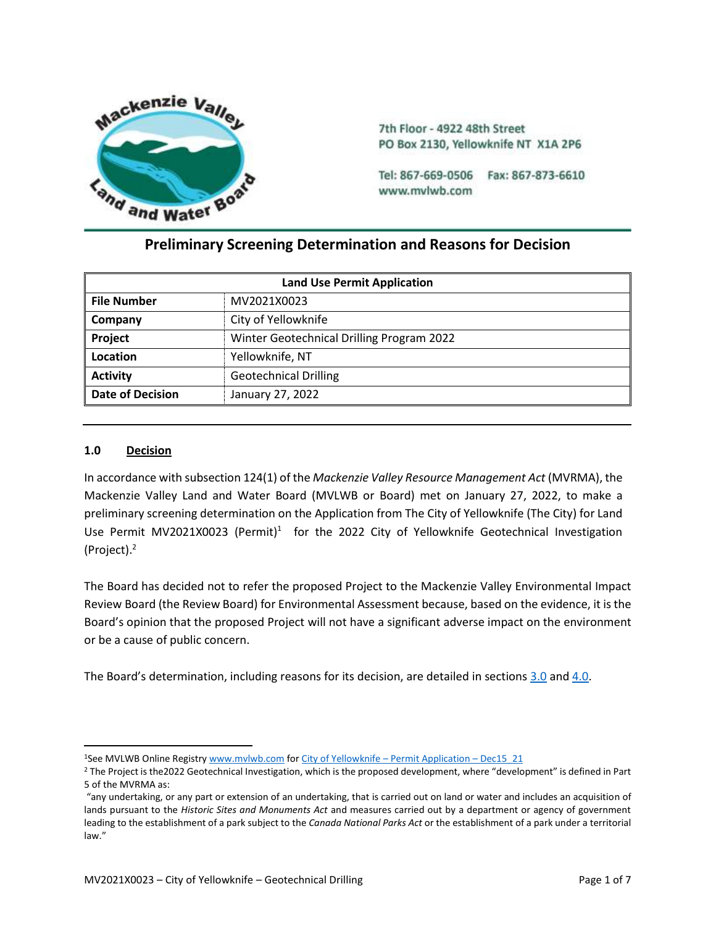

7th Floor - 4922 48th Street PO Box 2130, Yellowknife NT X1A 2P6

Tel: 867-669-0506 Fax: 867-873-6610 www.mvlwb.com

# **Preliminary Screening Determination and Reasons for Decision**

| <b>Land Use Permit Application</b> |                                           |  |  |
|------------------------------------|-------------------------------------------|--|--|
| <b>File Number</b>                 | MV2021X0023                               |  |  |
| Company                            | City of Yellowknife                       |  |  |
| Project                            | Winter Geotechnical Drilling Program 2022 |  |  |
| Location                           | Yellowknife, NT                           |  |  |
| <b>Activity</b>                    | <b>Geotechnical Drilling</b>              |  |  |
| <b>Date of Decision</b>            | January 27, 2022                          |  |  |

# **1.0 Decision**

In accordance with subsection 124(1) of the *Mackenzie Valley Resource Management Act* (MVRMA), the Mackenzie Valley Land and Water Board (MVLWB or Board) met on January 27, 2022, to make a preliminary screening determination on the Application from The City of Yellowknife (The City) for Land Use Permit MV2021X0023 (Permit)<sup>1</sup> for the 2022 City of Yellowknife Geotechnical Investigation (Project). 2

The Board has decided not to refer the proposed Project to the Mackenzie Valley Environmental Impact Review Board (the Review Board) for Environmental Assessment because, based on the evidence, it is the Board's opinion that the proposed Project will not have a significant adverse impact on the environment or be a cause of public concern.

The Board's determination, including reasons for its decision, are detailed in sections [3.0](#page-3-0) an[d 4.0.](#page-6-0)

<sup>1</sup>See MVLWB Online Registry [www.mvlwb.com](http://www.mvlwb.com/) fo[r City of Yellowknife](https://registry.mvlwb.ca/Documents/MV2021X0023/City%20of%20Yellowknife%20-%20Land%20Use%20Permit%20Application%20Form%20-%20Dec15_21.pdf) – Permit Application – Dec15\_21

<sup>2</sup> The Project is the2022 Geotechnical Investigation, which is the proposed development, where "development" is defined in Part 5 of the MVRMA as:

<sup>&</sup>quot;any undertaking, or any part or extension of an undertaking, that is carried out on land or water and includes an acquisition of lands pursuant to the *Historic Sites and Monuments Act* and measures carried out by a department or agency of government leading to the establishment of a park subject to the *Canada National Parks Act* or the establishment of a park under a territorial law."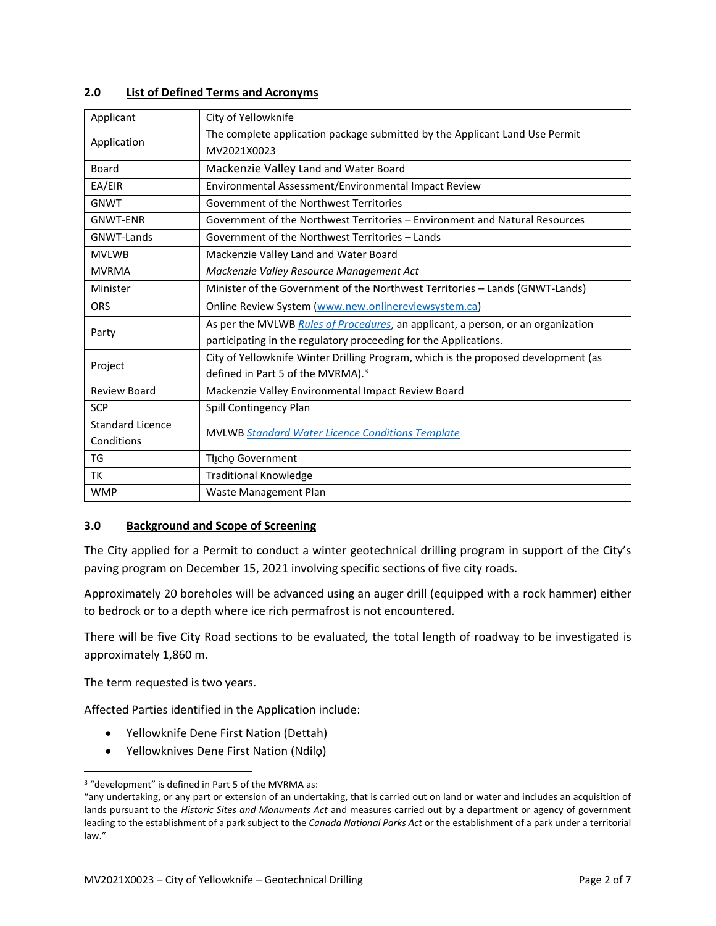| Applicant               | City of Yellowknife                                                                |  |  |
|-------------------------|------------------------------------------------------------------------------------|--|--|
| Application             | The complete application package submitted by the Applicant Land Use Permit        |  |  |
|                         | MV2021X0023                                                                        |  |  |
| Board                   | Mackenzie Valley Land and Water Board                                              |  |  |
| EA/EIR                  | Environmental Assessment/Environmental Impact Review                               |  |  |
| <b>GNWT</b>             | Government of the Northwest Territories                                            |  |  |
| <b>GNWT-ENR</b>         | Government of the Northwest Territories - Environment and Natural Resources        |  |  |
| GNWT-Lands              | Government of the Northwest Territories - Lands                                    |  |  |
| <b>MVLWB</b>            | Mackenzie Valley Land and Water Board                                              |  |  |
| <b>MVRMA</b>            | Mackenzie Valley Resource Management Act                                           |  |  |
| Minister                | Minister of the Government of the Northwest Territories - Lands (GNWT-Lands)       |  |  |
| <b>ORS</b>              | Online Review System (www.new.onlinereviewsystem.ca)                               |  |  |
| Party                   | As per the MVLWB Rules of Procedures, an applicant, a person, or an organization   |  |  |
|                         | participating in the regulatory proceeding for the Applications.                   |  |  |
| Project                 | City of Yellowknife Winter Drilling Program, which is the proposed development (as |  |  |
|                         | defined in Part 5 of the MVRMA). <sup>3</sup>                                      |  |  |
| Review Board            | Mackenzie Valley Environmental Impact Review Board                                 |  |  |
| <b>SCP</b>              | Spill Contingency Plan                                                             |  |  |
| <b>Standard Licence</b> | <b>MVLWB Standard Water Licence Conditions Template</b>                            |  |  |
| Conditions              |                                                                                    |  |  |
| TG                      | Tłįchę Government                                                                  |  |  |
| TK                      | <b>Traditional Knowledge</b>                                                       |  |  |
| <b>WMP</b>              | Waste Management Plan                                                              |  |  |

#### **2.0 List of Defined Terms and Acronyms**

#### <span id="page-3-0"></span>**3.0 Background and Scope of Screening**

The City applied for a Permit to conduct a winter geotechnical drilling program in support of the City's paving program on December 15, 2021 involving specific sections of five city roads.

Approximately 20 boreholes will be advanced using an auger drill (equipped with a rock hammer) either to bedrock or to a depth where ice rich permafrost is not encountered.

There will be five City Road sections to be evaluated, the total length of roadway to be investigated is approximately 1,860 m.

The term requested is two years.

Affected Parties identified in the Application include:

- Yellowknife Dene First Nation (Dettah)
- Yellowknives Dene First Nation (Ndilǫ)

<sup>3</sup> "development" is defined in Part 5 of the MVRMA as:

<sup>&</sup>quot;any undertaking, or any part or extension of an undertaking, that is carried out on land or water and includes an acquisition of lands pursuant to the *Historic Sites and Monuments Act* and measures carried out by a department or agency of government leading to the establishment of a park subject to the *Canada National Parks Act* or the establishment of a park under a territorial law."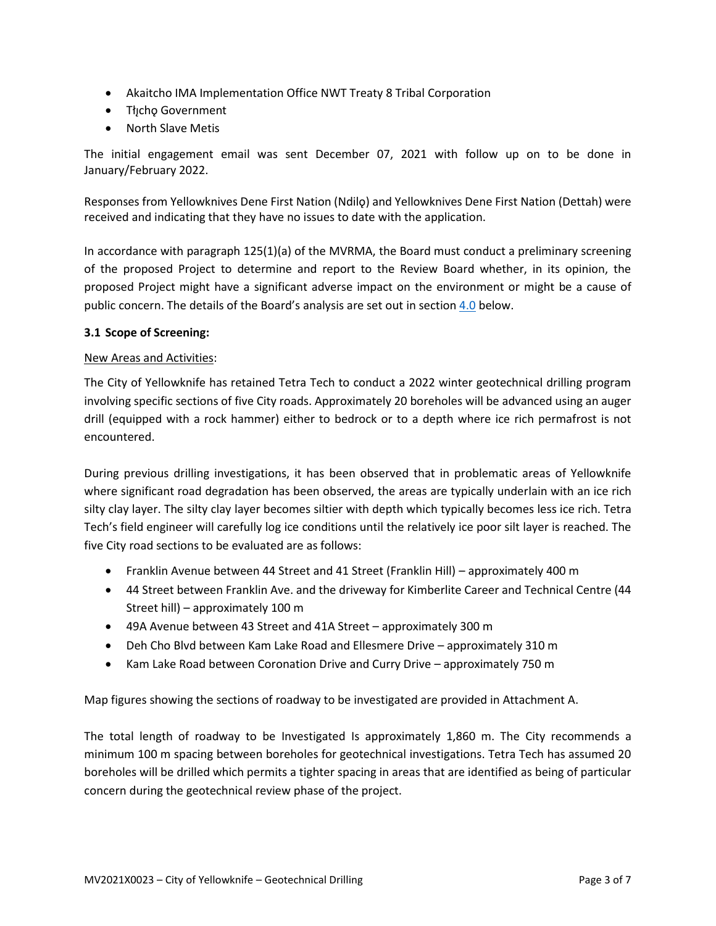- Akaitcho IMA Implementation Office NWT Treaty 8 Tribal Corporation
- Tłıcho Government
- North Slave Metis

The initial engagement email was sent December 07, 2021 with follow up on to be done in January/February 2022.

Responses from Yellowknives Dene First Nation (Ndilo) and Yellowknives Dene First Nation (Dettah) were received and indicating that they have no issues to date with the application.

In accordance with paragraph 125(1)(a) of the MVRMA, the Board must conduct a preliminary screening of the proposed Project to determine and report to the Review Board whether, in its opinion, the proposed Project might have a significant adverse impact on the environment or might be a cause of public concern. The details of the Board's analysis are set out in section [4.0](#page-6-0) below.

## **3.1 Scope of Screening:**

## New Areas and Activities:

The City of Yellowknife has retained Tetra Tech to conduct a 2022 winter geotechnical drilling program involving specific sections of five City roads. Approximately 20 boreholes will be advanced using an auger drill (equipped with a rock hammer) either to bedrock or to a depth where ice rich permafrost is not encountered.

During previous drilling investigations, it has been observed that in problematic areas of Yellowknife where significant road degradation has been observed, the areas are typically underlain with an ice rich silty clay layer. The silty clay layer becomes siltier with depth which typically becomes less ice rich. Tetra Tech's field engineer will carefully log ice conditions until the relatively ice poor silt layer is reached. The five City road sections to be evaluated are as follows:

- Franklin Avenue between 44 Street and 41 Street (Franklin Hill) approximately 400 m
- 44 Street between Franklin Ave. and the driveway for Kimberlite Career and Technical Centre (44 Street hill) – approximately 100 m
- 49A Avenue between 43 Street and 41A Street approximately 300 m
- Deh Cho Blvd between Kam Lake Road and Ellesmere Drive approximately 310 m
- Kam Lake Road between Coronation Drive and Curry Drive approximately 750 m

Map figures showing the sections of roadway to be investigated are provided in Attachment A.

The total length of roadway to be Investigated Is approximately 1,860 m. The City recommends a minimum 100 m spacing between boreholes for geotechnical investigations. Tetra Tech has assumed 20 boreholes will be drilled which permits a tighter spacing in areas that are identified as being of particular concern during the geotechnical review phase of the project.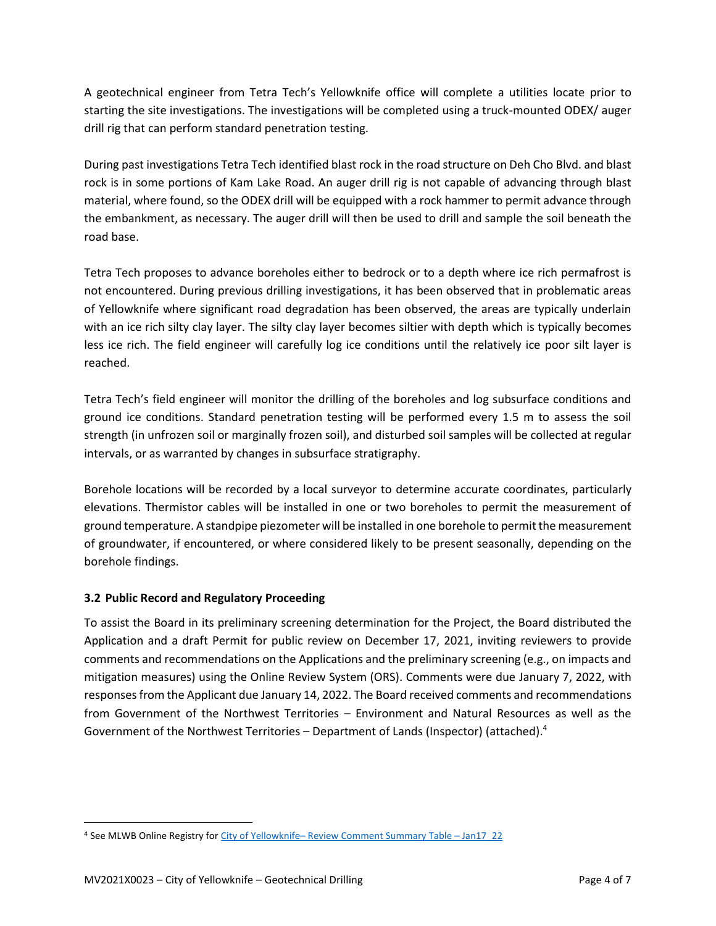A geotechnical engineer from Tetra Tech's Yellowknife office will complete a utilities locate prior to starting the site investigations. The investigations will be completed using a truck-mounted ODEX/ auger drill rig that can perform standard penetration testing.

During past investigations Tetra Tech identified blast rock in the road structure on Deh Cho Blvd. and blast rock is in some portions of Kam Lake Road. An auger drill rig is not capable of advancing through blast material, where found, so the ODEX drill will be equipped with a rock hammer to permit advance through the embankment, as necessary. The auger drill will then be used to drill and sample the soil beneath the road base.

Tetra Tech proposes to advance boreholes either to bedrock or to a depth where ice rich permafrost is not encountered. During previous drilling investigations, it has been observed that in problematic areas of Yellowknife where significant road degradation has been observed, the areas are typically underlain with an ice rich silty clay layer. The silty clay layer becomes siltier with depth which is typically becomes less ice rich. The field engineer will carefully log ice conditions until the relatively ice poor silt layer is reached.

Tetra Tech's field engineer will monitor the drilling of the boreholes and log subsurface conditions and ground ice conditions. Standard penetration testing will be performed every 1.5 m to assess the soil strength (in unfrozen soil or marginally frozen soil), and disturbed soil samples will be collected at regular intervals, or as warranted by changes in subsurface stratigraphy.

Borehole locations will be recorded by a local surveyor to determine accurate coordinates, particularly elevations. Thermistor cables will be installed in one or two boreholes to permit the measurement of ground temperature. A standpipe piezometer will be installed in one borehole to permit the measurement of groundwater, if encountered, or where considered likely to be present seasonally, depending on the borehole findings.

# **3.2 Public Record and Regulatory Proceeding**

To assist the Board in its preliminary screening determination for the Project, the Board distributed the Application and a draft Permit for public review on December 17, 2021, inviting reviewers to provide comments and recommendations on the Applications and the preliminary screening (e.g., on impacts and mitigation measures) using the Online Review System (ORS). Comments were due January 7, 2022, with responses from the Applicant due January 14, 2022. The Board received comments and recommendations from Government of the Northwest Territories – Environment and Natural Resources as well as the Government of the Northwest Territories - Department of Lands (Inspector) (attached).<sup>4</sup>

<sup>4</sup> See MLWB Online Registry for City of Yellowknife– [Review Comment Summary Table](https://new.onlinereviewsystem.ca/review/FF033BFC-505F-EC11-94F6-DC984013DD04) – Jan17\_22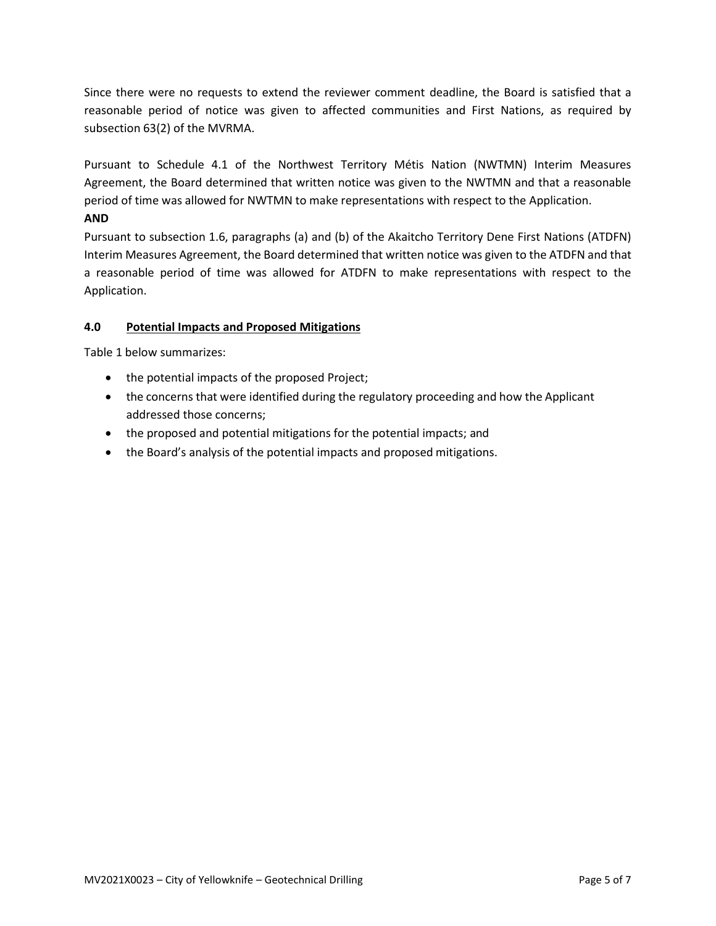Since there were no requests to extend the reviewer comment deadline, the Board is satisfied that a reasonable period of notice was given to affected communities and First Nations, as required by subsection 63(2) of the MVRMA.

Pursuant to Schedule 4.1 of the Northwest Territory Métis Nation (NWTMN) Interim Measures Agreement, the Board determined that written notice was given to the NWTMN and that a reasonable period of time was allowed for NWTMN to make representations with respect to the Application.

# **AND**

Pursuant to subsection 1.6, paragraphs (a) and (b) of the Akaitcho Territory Dene First Nations (ATDFN) Interim Measures Agreement, the Board determined that written notice was given to the ATDFN and that a reasonable period of time was allowed for ATDFN to make representations with respect to the Application.

# <span id="page-6-0"></span>**4.0 Potential Impacts and Proposed Mitigations**

Table 1 below summarizes:

- the potential impacts of the proposed Project;
- the concerns that were identified during the regulatory proceeding and how the Applicant addressed those concerns;
- the proposed and potential mitigations for the potential impacts; and
- the Board's analysis of the potential impacts and proposed mitigations.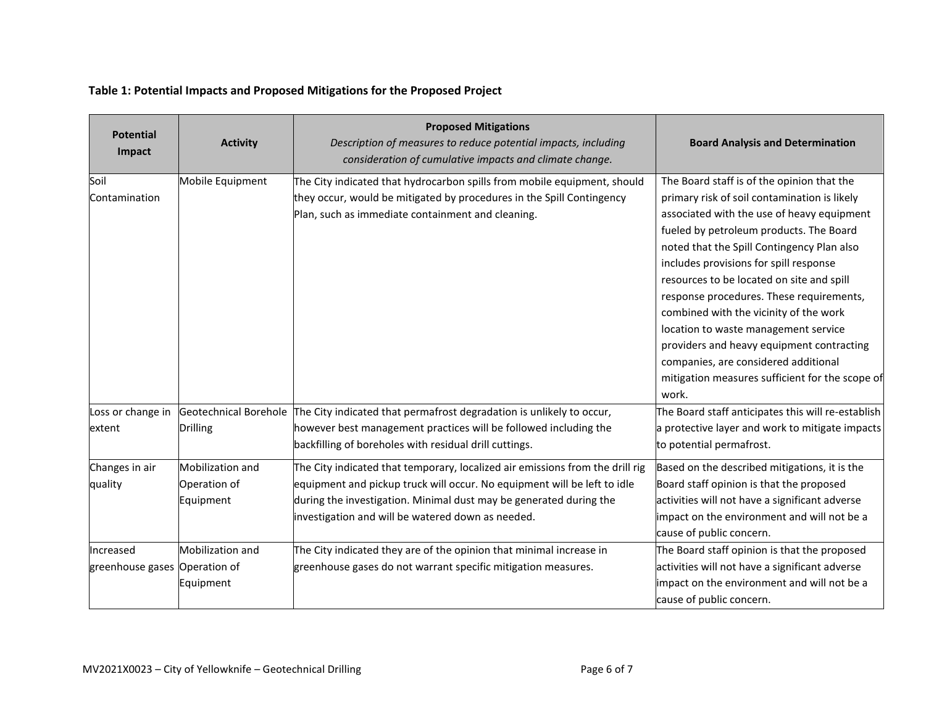# **Table 1: Potential Impacts and Proposed Mitigations for the Proposed Project**

| <b>Potential</b><br>Impact                 | <b>Activity</b>                               | <b>Proposed Mitigations</b><br>Description of measures to reduce potential impacts, including<br>consideration of cumulative impacts and climate change.                                                                                                                             | <b>Board Analysis and Determination</b>                                                                                                                                                                                                                                                                                                                                                                                                                                                                                                                                                        |
|--------------------------------------------|-----------------------------------------------|--------------------------------------------------------------------------------------------------------------------------------------------------------------------------------------------------------------------------------------------------------------------------------------|------------------------------------------------------------------------------------------------------------------------------------------------------------------------------------------------------------------------------------------------------------------------------------------------------------------------------------------------------------------------------------------------------------------------------------------------------------------------------------------------------------------------------------------------------------------------------------------------|
| Soil<br>Contamination                      | Mobile Equipment                              | The City indicated that hydrocarbon spills from mobile equipment, should<br>they occur, would be mitigated by procedures in the Spill Contingency<br>Plan, such as immediate containment and cleaning.                                                                               | The Board staff is of the opinion that the<br>primary risk of soil contamination is likely<br>associated with the use of heavy equipment<br>fueled by petroleum products. The Board<br>noted that the Spill Contingency Plan also<br>includes provisions for spill response<br>resources to be located on site and spill<br>response procedures. These requirements,<br>combined with the vicinity of the work<br>location to waste management service<br>providers and heavy equipment contracting<br>companies, are considered additional<br>mitigation measures sufficient for the scope of |
| Loss or change in<br>extent                | <b>Drilling</b>                               | Geotechnical Borehole The City indicated that permafrost degradation is unlikely to occur,<br>however best management practices will be followed including the<br>backfilling of boreholes with residual drill cuttings.                                                             | work.<br>The Board staff anticipates this will re-establish<br>a protective layer and work to mitigate impacts<br>to potential permafrost.                                                                                                                                                                                                                                                                                                                                                                                                                                                     |
| Changes in air<br>quality                  | Mobilization and<br>Operation of<br>Equipment | The City indicated that temporary, localized air emissions from the drill rig<br>equipment and pickup truck will occur. No equipment will be left to idle<br>during the investigation. Minimal dust may be generated during the<br>investigation and will be watered down as needed. | Based on the described mitigations, it is the<br>Board staff opinion is that the proposed<br>activities will not have a significant adverse<br>impact on the environment and will not be a<br>cause of public concern.                                                                                                                                                                                                                                                                                                                                                                         |
| Increased<br>greenhouse gases Operation of | Mobilization and<br>Equipment                 | The City indicated they are of the opinion that minimal increase in<br>greenhouse gases do not warrant specific mitigation measures.                                                                                                                                                 | The Board staff opinion is that the proposed<br>activities will not have a significant adverse<br>impact on the environment and will not be a<br>cause of public concern.                                                                                                                                                                                                                                                                                                                                                                                                                      |